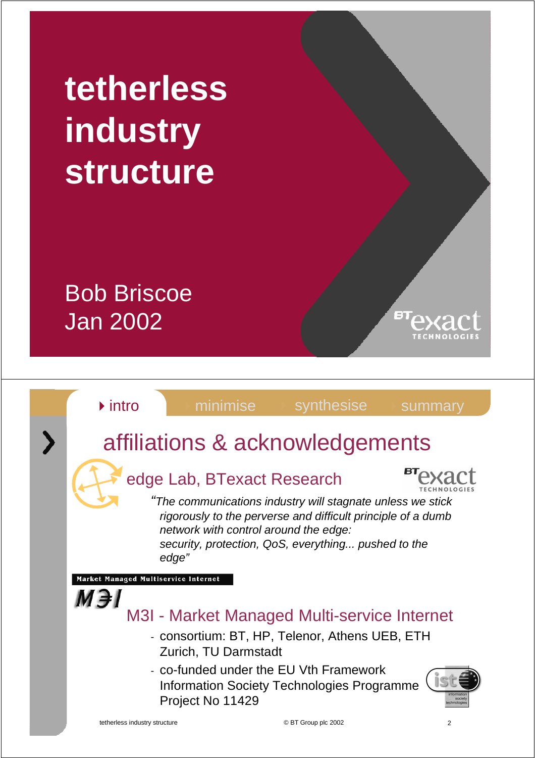# **tetherless industry structure**

### Bob Briscoe Jan 2002



言則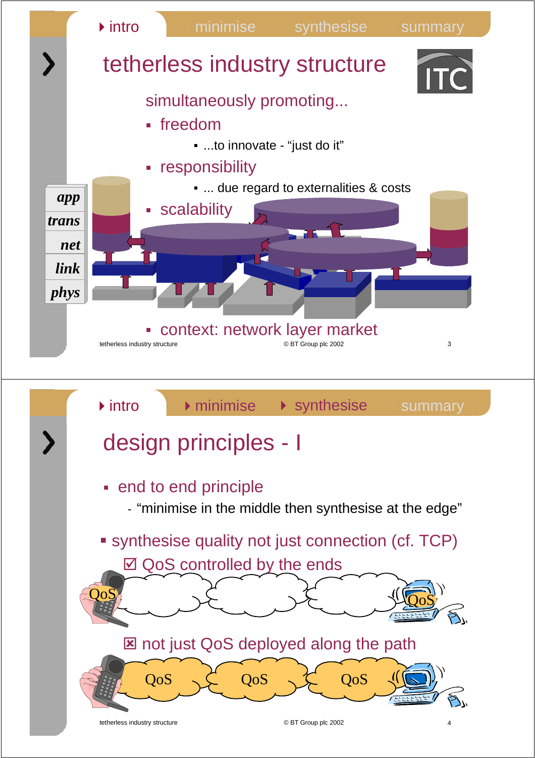

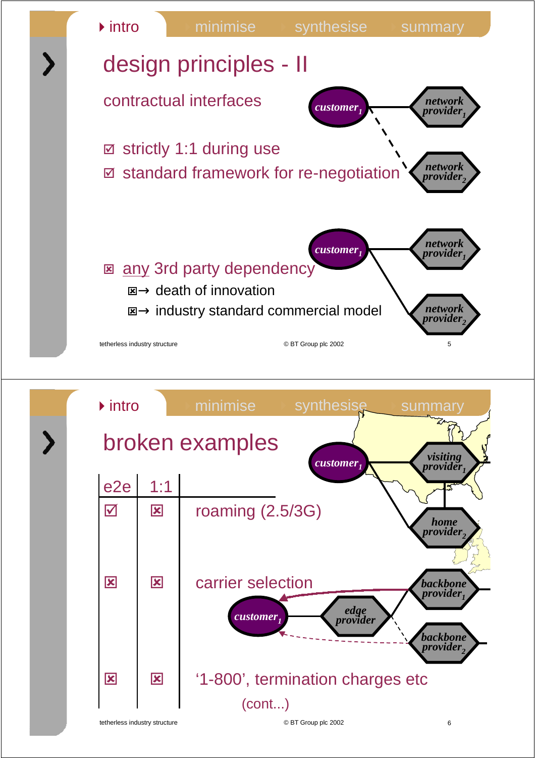

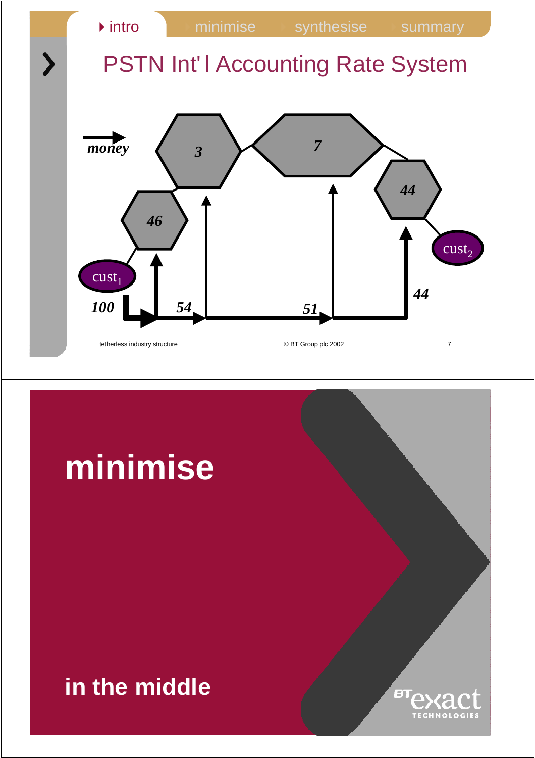

## **minimise**

#### **in the middle**

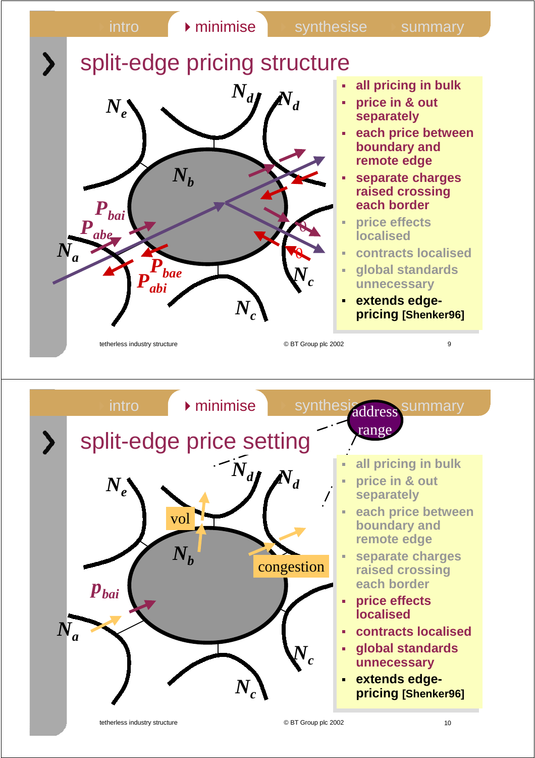

![](_page_4_Figure_1.jpeg)

tetherless industry structure © BT Group plc 2002 10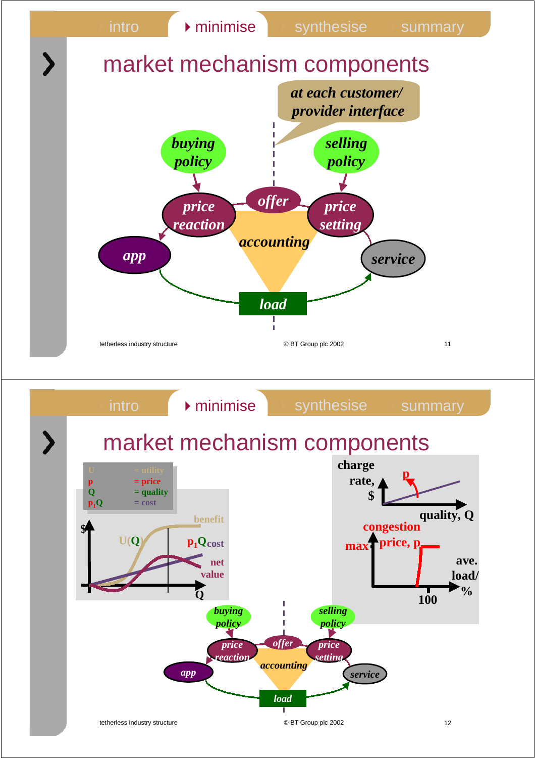![](_page_5_Figure_0.jpeg)

![](_page_5_Figure_1.jpeg)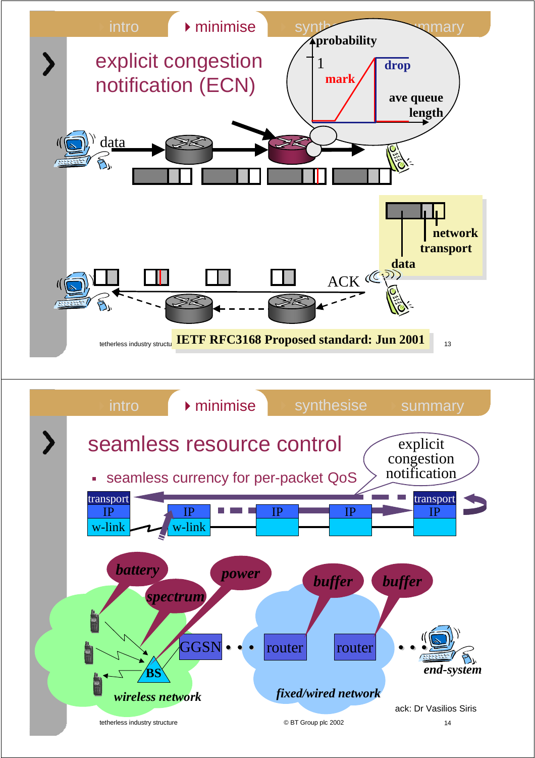![](_page_6_Figure_0.jpeg)

![](_page_6_Figure_1.jpeg)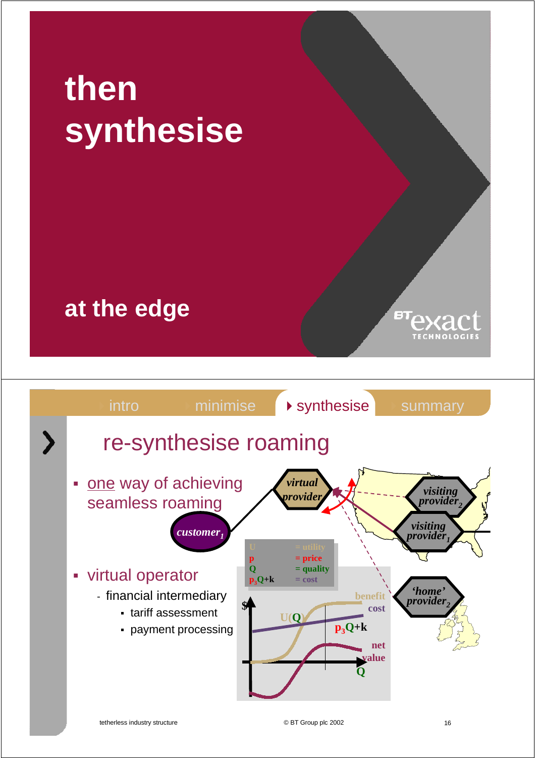# **then synthesise**

### **at the edge**

![](_page_7_Figure_2.jpeg)

E)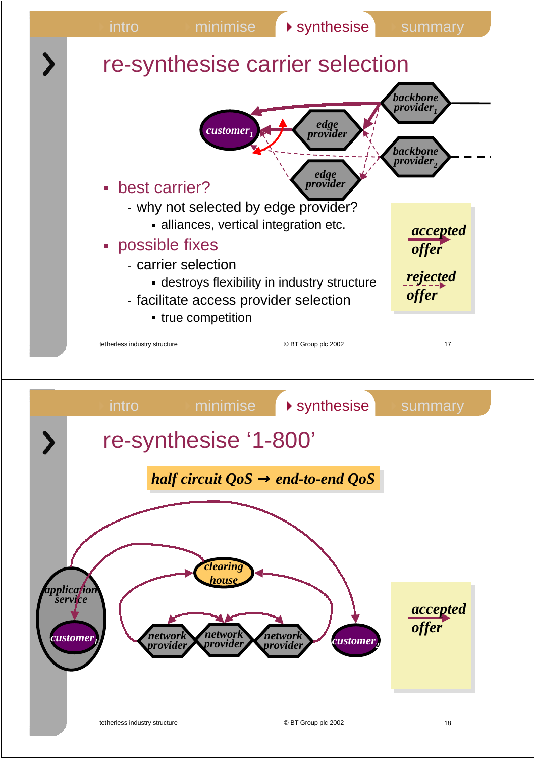![](_page_8_Figure_0.jpeg)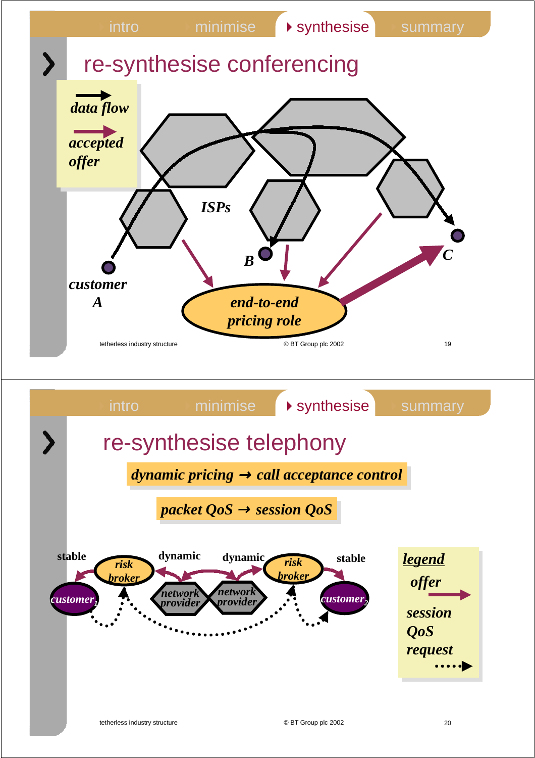![](_page_9_Figure_0.jpeg)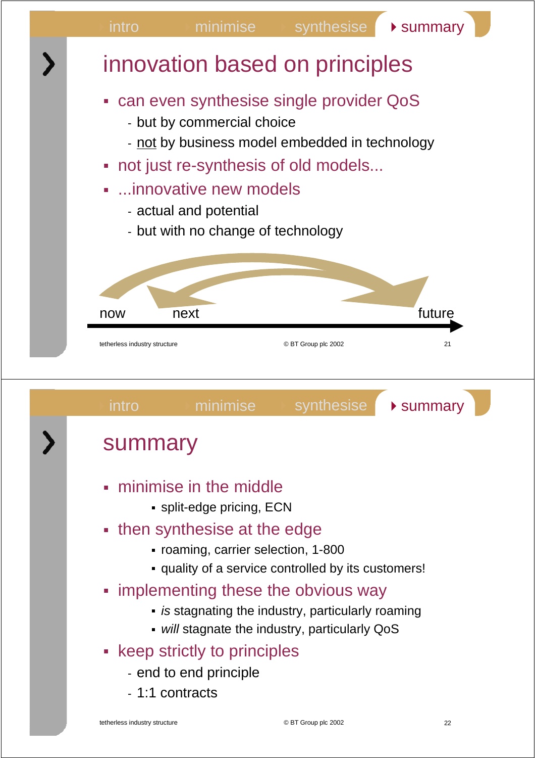![](_page_10_Figure_0.jpeg)

![](_page_10_Figure_1.jpeg)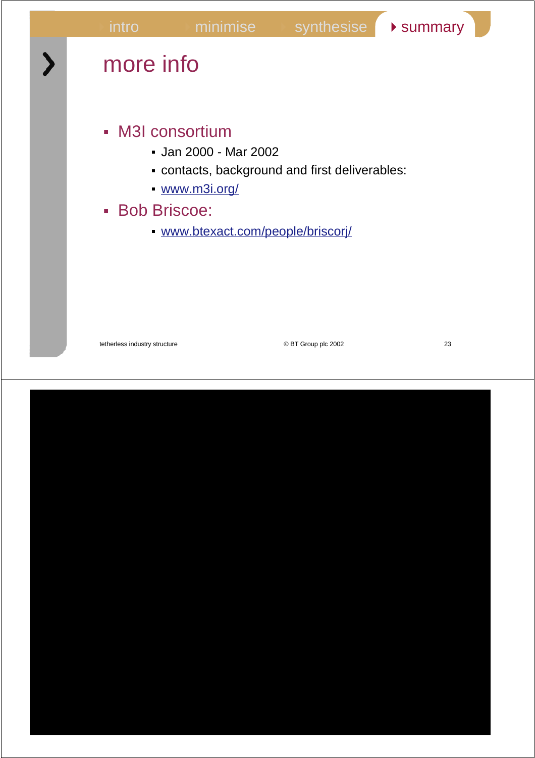intro minimise synthesise summary tetherless industry structure and the control of BT Group plc 2002 23 more info M3I consortium  Jan 2000 - Mar 2002  contacts, background and first deliverables:  www.m3i.org/ Bob Briscoe:  www.btexact.com/people/briscorj/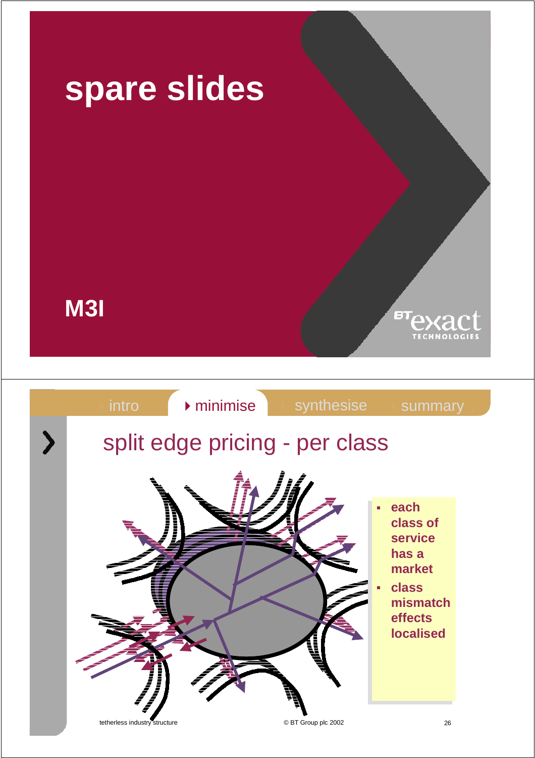![](_page_12_Picture_0.jpeg)

tetherless industry structure  $\bullet$  DET Group plc 2002 26